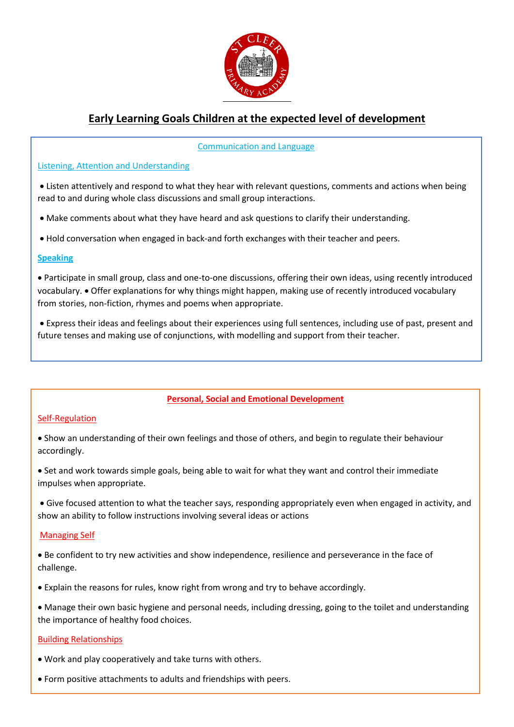

# **Early Learning Goals Children at the expected level of development**

## Communication and Language

## Listening, Attention and Understanding

• Listen attentively and respond to what they hear with relevant questions, comments and actions when being read to and during whole class discussions and small group interactions.

• Make comments about what they have heard and ask questions to clarify their understanding.

• Hold conversation when engaged in back-and forth exchanges with their teacher and peers.

#### **Speaking**

• Participate in small group, class and one-to-one discussions, offering their own ideas, using recently introduced vocabulary. • Offer explanations for why things might happen, making use of recently introduced vocabulary from stories, non-fiction, rhymes and poems when appropriate.

• Express their ideas and feelings about their experiences using full sentences, including use of past, present and future tenses and making use of conjunctions, with modelling and support from their teacher.

# **Personal, Social and Emotional Development**

## Self-Regulation

• Show an understanding of their own feelings and those of others, and begin to regulate their behaviour accordingly.

• Set and work towards simple goals, being able to wait for what they want and control their immediate impulses when appropriate.

• Give focused attention to what the teacher says, responding appropriately even when engaged in activity, and show an ability to follow instructions involving several ideas or actions

## Managing Self

• Be confident to try new activities and show independence, resilience and perseverance in the face of challenge.

• Explain the reasons for rules, know right from wrong and try to behave accordingly.

• Manage their own basic hygiene and personal needs, including dressing, going to the toilet and understanding the importance of healthy food choices.

## Building Relationships

• Work and play cooperatively and take turns with others.

• Form positive attachments to adults and friendships with peers.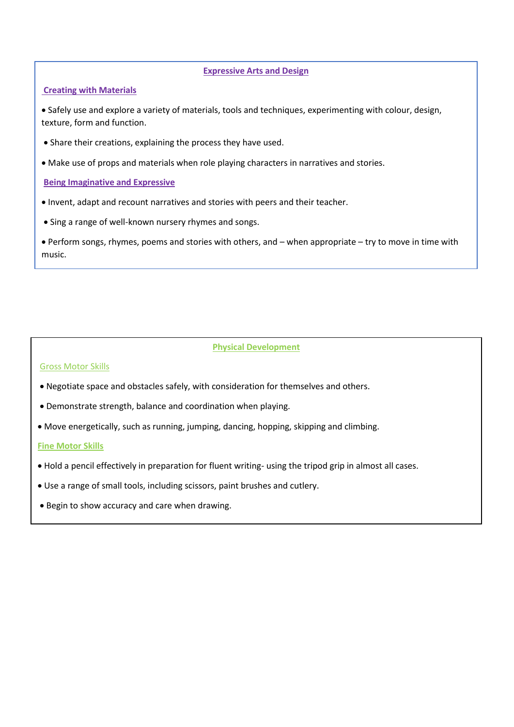#### **Expressive Arts and Design**

## **Creating with Materials**

• Safely use and explore a variety of materials, tools and techniques, experimenting with colour, design, texture, form and function.

- Share their creations, explaining the process they have used.
- Make use of props and materials when role playing characters in narratives and stories.

**Being Imaginative and Expressive**

- Invent, adapt and recount narratives and stories with peers and their teacher.
- Sing a range of well-known nursery rhymes and songs.

• Perform songs, rhymes, poems and stories with others, and – when appropriate – try to move in time with music.

## **Physical Development**

## Gross Motor Skills

- Negotiate space and obstacles safely, with consideration for themselves and others.
- Demonstrate strength, balance and coordination when playing.
- Move energetically, such as running, jumping, dancing, hopping, skipping and climbing.

#### **Fine Motor Skills**

- Hold a pencil effectively in preparation for fluent writing- using the tripod grip in almost all cases.
- Use a range of small tools, including scissors, paint brushes and cutlery.
- Begin to show accuracy and care when drawing.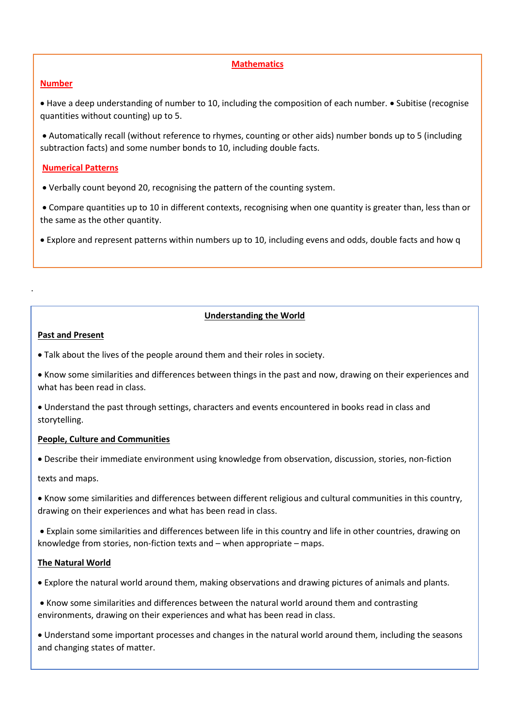## **Mathematics**

## **Number**

• Have a deep understanding of number to 10, including the composition of each number. • Subitise (recognise quantities without counting) up to 5.

• Automatically recall (without reference to rhymes, counting or other aids) number bonds up to 5 (including subtraction facts) and some number bonds to 10, including double facts.

## **Numerical Patterns**

- Verbally count beyond 20, recognising the pattern of the counting system.
- Compare quantities up to 10 in different contexts, recognising when one quantity is greater than, less than or the same as the other quantity.

• Explore and represent patterns within numbers up to 10, including evens and odds, double facts and how q

## **Understanding the World**

#### **Past and Present**

.

- Talk about the lives of the people around them and their roles in society.
- Know some similarities and differences between things in the past and now, drawing on their experiences and what has been read in class.
- Understand the past through settings, characters and events encountered in books read in class and storytelling.

## **People, Culture and Communities**

• Describe their immediate environment using knowledge from observation, discussion, stories, non-fiction

texts and maps.

- Know some similarities and differences between different religious and cultural communities in this country, drawing on their experiences and what has been read in class.
- Explain some similarities and differences between life in this country and life in other countries, drawing on knowledge from stories, non-fiction texts and – when appropriate – maps.

## **The Natural World**

- Explore the natural world around them, making observations and drawing pictures of animals and plants.
- Know some similarities and differences between the natural world around them and contrasting environments, drawing on their experiences and what has been read in class.
- Understand some important processes and changes in the natural world around them, including the seasons and changing states of matter.